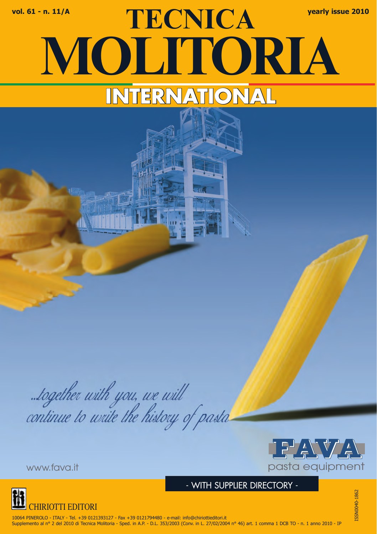# **TECNICA vol. 61 - n. 11/A yearly issue 2010 MOLITORIA INTERNATIONAL**

...together with you, we will<br>continue to write the history of pasta



- WITH SUPPLIER DIRECTORY -

ISSN0040-1862 SSN0040-1862



10064 PINEROLO - ITALY - Tel. +39 0121393127 - Fax +39 0121794480 - e-mail: info@chiriottieditori.it Supplemento al nº 2 del 2010 di Tecnica Molitoria - Sped. in A.P. - D.L. 353/2003 (Conv. in L. 27/02/2004 nº 46) art. 1 comma 1 DCB TO - n. 1 anno 2010 - IP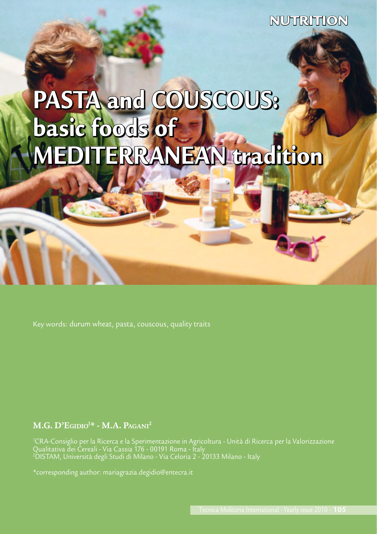**NUTRITION** 

## PASTA and COUSCOUS: basic foods of MEDITERRANEAN tradition

#### **M.G. D'Egidio1 \* - M.A. Pagani2**

1 CRA-Consiglio per la Ricerca e la Sperimentazione in Agricoltura - Unità di Ricerca per la Valorizzazione Qualitativa dei Cereali - Via Cassia 176 - 00191 Roma - Italy 2 DISTAM, Università degli Studi di Milano - Via Celoria 2 - 20133 Milano - Italy

\*corresponding author: mariagrazia.degidio@entecra.it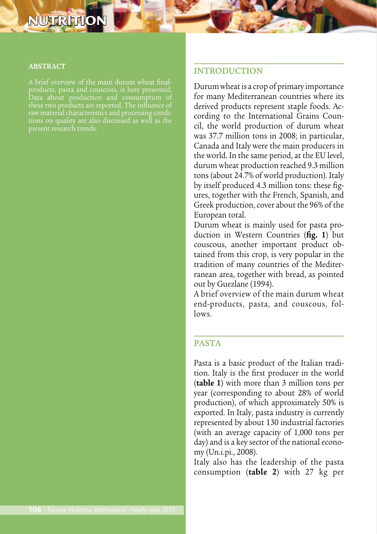### **NUTRITIO**

#### **ABSTRACT**

products, pasta and couscous, is here presented. Data about production and consumption of these two products are reported. The influence of

#### **INTRODUCTION**

Durum wheat is a crop of primary importance for many Mediterranean countries where its derived products represent staple foods. According to the International Grains Council, the world production of durum wheat was 37.7 million tons in 2008; in particular, Canada and Italy were the main producers in the world. In the same period, at the EU level, durum wheat production reached 9.3 million tons (about 24.7% of world production). Italy by itself produced 4.3 million tons: these figures, together with the French, Spanish, and Greek production, cover about the 96% of the European total.

Durum wheat is mainly used for pasta production in Western Countries (**fig. 1**) but couscous, another important product obtained from this crop, is very popular in the tradition of many countries of the Mediterranean area, together with bread, as pointed out by Guezlane (1994).

A brief overview of the main durum wheat end-products, pasta, and couscous, follows.

#### **PASTA**

Pasta is a basic product of the Italian tradition. Italy is the first producer in the world (**table 1**) with more than 3 million tons per year (corresponding to about 28% of world production), of which approximately 50% is exported. In Italy, pasta industry is currently represented by about 130 industrial factories (with an average capacity of 1,000 tons per day) and is a key sector of the national economy (Un.i.pi., 2008).

Italy also has the leadership of the pasta consumption (**table 2**) with 27 kg per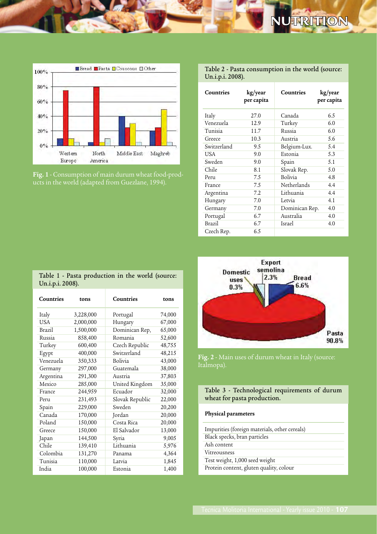



**Fig. 1** - Consumption of main durum wheat food-prod-

| Table 2 - Pasta consumption in the world (source: |  |
|---------------------------------------------------|--|
| Un.i.p.i. 2008).                                  |  |

| Countries   | kg/year<br>per capita | Countries          | kg/year<br>per capita |
|-------------|-----------------------|--------------------|-----------------------|
| Italy       | 27.0                  | Canada             | 6.5                   |
| Venezuela   | 12.9                  | Turkey             | 6.0                   |
| Tunisia     | 11.7                  | Russia             | 6.0                   |
| Greece      | 10.3                  | Austria            | 5.6                   |
| Switzerland | 9.5                   | Belgium-Lux.       | 5.4                   |
| USA         | 9.0                   | Estonia            | 5.3                   |
| Sweden      | 9.0                   | Spain              | 5.1                   |
| Chile       | 8.1                   | Slovak Rep.        | 5.0                   |
| Peru        | 7.5                   | <b>Bolivia</b>     | 4.8                   |
| France      | 7.5                   | <b>Netherlands</b> | 4.4                   |
| Argentina   | 7.2                   | Lithuania          | 4.4                   |
| Hungary     | 7.0                   | Letvia             | 4.1                   |
| Germany     | 7.0                   | Dominican Rep.     | 4.0                   |
| Portugal    | 6.7                   | Australia          | 4.0                   |
| Brazil      | 6.7                   | Israel             | 4.0                   |
| Czech Rep.  | 6.5                   |                    |                       |

|                  | Table 1 - Pasta production in the world (source: |  |  |
|------------------|--------------------------------------------------|--|--|
| Un.i.p.i. 2008). |                                                  |  |  |

| Countries  | tons      | Countries       | tons   |
|------------|-----------|-----------------|--------|
| Italy      | 3,228,000 | Portugal        | 74,000 |
| <b>USA</b> | 2,000,000 | Hungary         | 67,000 |
| Brazil     | 1,500,000 | Dominican Rep,  | 65,000 |
| Russia     | 858,400   | Romania         | 52,600 |
| Turkey     | 600,400   | Czech Republic  | 48,755 |
| Egypt      | 400,000   | Switzerland     | 48,215 |
| Venezuela  | 350,333   | <b>Bolivia</b>  | 43,000 |
| Germany    | 297,000   | Guatemala       | 38,000 |
| Argentina  | 291,300   | Austria         | 37,803 |
| Mexico     | 285,000   | United Kingdom  | 35,000 |
| France     | 244,959   | Ecuador         | 32,000 |
| Peru       | 231,493   | Slovak Republic | 22,000 |
| Spain      | 229,000   | Sweden          | 20,200 |
| Canada     | 170,000   | Jordan          | 20,000 |
| Poland     | 150,000   | Costa Rica      | 20,000 |
| Greece     | 150,000   | El Salvador     | 13,000 |
| Japan      | 144,500   | Syria           | 9,005  |
| Chile      | 139,410   | Lithuania       | 5,976  |
| Colombia   | 131,270   | Panama          | 4,364  |
| Tunisia    | 110,000   | Latvia          | 1,845  |
| India      | 100,000   | Estonia         | 1,400  |



**Fig. 2** - Main uses of durum wheat in Italy (source:

Table 3 - Technological requirements of durum wheat for pasta production.

#### **Physical parameters**

| Impurities (foreign materials, other cereals) |
|-----------------------------------------------|
| Black specks, bran particles                  |
| Ash content                                   |
| Vitreousness                                  |
| Test weight, 1,000 seed weight                |
| Protein content, gluten quality, colour       |
|                                               |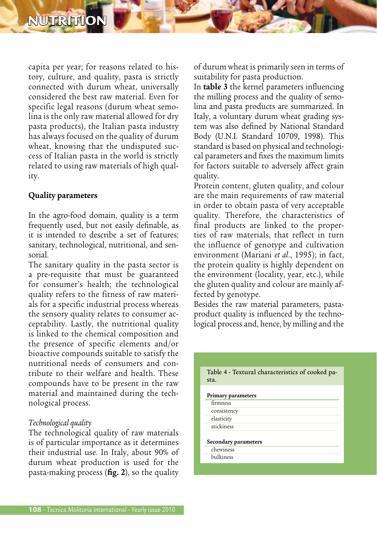capita per year; for reasons related to history, culture, and quality, pasta is strictly connected with durum wheat, universally considered the best raw material. Even for specific legal reasons (durum wheat semolina is the only raw material allowed for dry pasta products), the Italian pasta industry has always focused on the quality of durum wheat, knowing that the undisputed success of Italian pasta in the world is strictly related to using raw materials of high quality.

#### **Quality parameters**

In the agro-food domain, quality is a term frequently used, but not easily definable, as it is intended to describe a set of features: sanitary, technological, nutritional, and sensorial.

The sanitary quality in the pasta sector is a pre-requisite that must be guaranteed for consumer's health; the technological quality refers to the fitness of raw materials for a specific industrial process whereas the sensory quality relates to consumer acceptability. Lastly, the nutritional quality is linked to the chemical composition and the presence of specific elements and/or bioactive compounds suitable to satisfy the nutritional needs of consumers and contribute to their welfare and health. These compounds have to be present in the raw material and maintained during the technological process.

#### *Technological quality*

The technological quality of raw materials is of particular importance as it determines their industrial use. In Italy, about 90% of durum wheat production is used for the pasta-making process (**fig. 2**), so the quality

of durum wheat is primarily seen in terms of suitability for pasta production.

In **table 3** the kernel parameters influencing the milling process and the quality of semolina and pasta products are summarized. In Italy, a voluntary durum wheat grading system was also defined by National Standard Body (U.N.I. Standard 10709, 1998). This standard is based on physical and technological parameters and fixes the maximum limits for factors suitable to adversely affect grain quality.

Protein content, gluten quality, and colour are the main requirements of raw material in order to obtain pasta of very acceptable quality. Therefore, the characteristics of final products are linked to the properties of raw materials, that reflect in turn the influence of genotype and cultivation environment (Mariani *et al*., 1995); in fact, the protein quality is highly dependent on the environment (locality, year, etc.), while the gluten quality and colour are mainly affected by genotype.

Besides the raw material parameters, pastaproduct quality is influenced by the technological process and, hence, by milling and the

| Table 4 - Textural characteristics of cooked pa-<br>sta. |  |
|----------------------------------------------------------|--|
| Primary parameters                                       |  |
| firmness                                                 |  |
| consistency                                              |  |
| elasticity                                               |  |
| stickiness                                               |  |
| Secondary parameters<br>chewiness                        |  |
|                                                          |  |
| bulkiness                                                |  |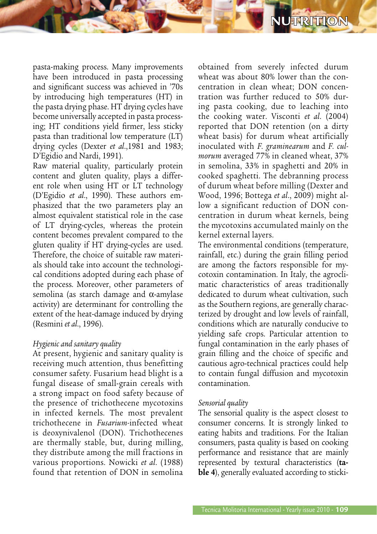

pasta-making process. Many improvements have been introduced in pasta processing and significant success was achieved in '70s by introducing high temperatures (HT) in the pasta drying phase. HT drying cycles have become universally accepted in pasta processing; HT conditions yield firmer, less sticky pasta than traditional low temperature (LT) drying cycles (Dexter *et al*.,1981 and 1983; D'Egidio and Nardi, 1991).

Raw material quality, particularly protein content and gluten quality, plays a different role when using HT or LT technology (D'Egidio *et al*., 1990). These authors emphasized that the two parameters play an almost equivalent statistical role in the case of LT drying-cycles, whereas the protein content becomes prevalent compared to the gluten quality if HT drying-cycles are used. Therefore, the choice of suitable raw materials should take into account the technological conditions adopted during each phase of the process. Moreover, other parameters of semolina (as starch damage and α-amylase activity) are determinant for controlling the extent of the heat-damage induced by drying (Resmini *et al*., 1996).

#### *Hygienic and sanitary quality*

At present, hygienic and sanitary quality is receiving much attention, thus benefitting consumer safety. Fusarium head blight is a fungal disease of small-grain cereals with a strong impact on food safety because of the presence of trichothecene mycotoxins in infected kernels. The most prevalent trichothecene in *Fusarium-*infected wheat is deoxynivalenol (DON). Trichothecenes are thermally stable, but, during milling, they distribute among the mill fractions in various proportions. Nowicki *et al*. (1988) found that retention of DON in semolina

obtained from severely infected durum wheat was about 80% lower than the concentration in clean wheat; DON concentration was further reduced to 50% during pasta cooking, due to leaching into the cooking water. Visconti *et al*. (2004) reported that DON retention (on a dirty wheat basis) for durum wheat artificially inoculated with *F. graminearum* and *F. culmorum* averaged 77% in cleaned wheat, 37% in semolina, 33% in spaghetti and 20% in cooked spaghetti. The debranning process of durum wheat before milling (Dexter and Wood, 1996; Bottega *et al*., 2009) might allow a significant reduction of DON concentration in durum wheat kernels, being the mycotoxins accumulated mainly on the kernel external layers.

The environmental conditions (temperature, rainfall, etc.) during the grain filling period are among the factors responsible for mycotoxin contamination. In Italy, the agroclimatic characteristics of areas traditionally dedicated to durum wheat cultivation, such as the Southern regions, are generally characterized by drought and low levels of rainfall, conditions which are naturally conducive to yielding safe crops. Particular attention to fungal contamination in the early phases of grain filling and the choice of specific and cautious agro-technical practices could help to contain fungal diffusion and mycotoxin contamination.

#### *Sensorial quality*

The sensorial quality is the aspect closest to consumer concerns. It is strongly linked to eating habits and traditions. For the Italian consumers, pasta quality is based on cooking performance and resistance that are mainly represented by textural characteristics (**table 4**), generally evaluated according to sticki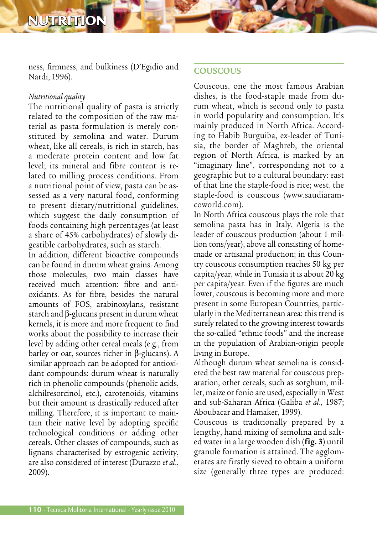ness, firmness, and bulkiness (D'Egidio and Nardi, 1996).

#### *Nutritional quality*

The nutritional quality of pasta is strictly related to the composition of the raw material as pasta formulation is merely constituted by semolina and water. Durum wheat, like all cereals, is rich in starch, has a moderate protein content and low fat level; its mineral and fibre content is related to milling process conditions. From a nutritional point of view, pasta can be assessed as a very natural food, conforming to present dietary/nutritional guidelines, which suggest the daily consumption of foods containing high percentages (at least a share of 45% carbohydrates) of slowly digestible carbohydrates, such as starch.

In addition, different bioactive compounds can be found in durum wheat grains. Among those molecules, two main classes have received much attention: fibre and antioxidants. As for fibre, besides the natural amounts of FOS, arabinoxylans, resistant starch and β-glucans present in durum wheat kernels, it is more and more frequent to find works about the possibility to increase their level by adding other cereal meals (e.g., from barley or oat, sources richer in β-glucans). A similar approach can be adopted for antioxidant compounds: durum wheat is naturally rich in phenolic compounds (phenolic acids, alchilresorcinol, etc.), carotenoids, vitamins but their amount is drastically reduced after milling. Therefore, it is important to maintain their native level by adopting specific technological conditions or adding other cereals. Other classes of compounds, such as lignans characterised by estrogenic activity, are also considered of interest (Durazzo *et al*., 2009).

#### **COUSCOUS**

Couscous, one the most famous Arabian dishes, is the food-staple made from durum wheat, which is second only to pasta in world popularity and consumption. It's mainly produced in North Africa. According to Habib Burguiba, ex-leader of Tunisia, the border of Maghreb, the oriental region of North Africa, is marked by an "imaginary line", corresponding not to a geographic but to a cultural boundary: east of that line the staple-food is rice; west, the staple-food is couscous (www.saudiaramcoworld.com).

In North Africa couscous plays the role that semolina pasta has in Italy. Algeria is the leader of couscous production (about 1 million tons/year), above all consisting of homemade or artisanal production; in this Country couscous consumption reaches 50 kg per capita/year, while in Tunisia it is about 20 kg per capita/year. Even if the figures are much lower, couscous is becoming more and more present in some European Countries, particularly in the Mediterranean area: this trend is surely related to the growing interest towards the so-called "ethnic foods" and the increase in the population of Arabian-origin people living in Europe.

Although durum wheat semolina is considered the best raw material for couscous preparation, other cereals, such as sorghum, millet, maize or fonio are used, especially in West and sub-Saharan Africa (Galiba *et al*., 1987; Aboubacar and Hamaker, 1999).

Couscous is traditionally prepared by a lengthy, hand mixing of semolina and salted water in a large wooden dish (**fig. 3**) until granule formation is attained. The agglomerates are firstly sieved to obtain a uniform size (generally three types are produced: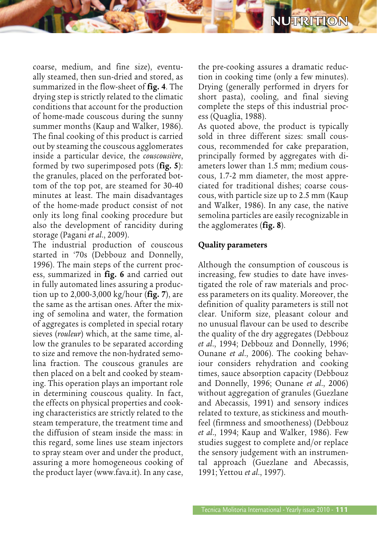coarse, medium, and fine size), eventually steamed, then sun-dried and stored, as summarized in the flow-sheet of **fig. 4**. The drying step is strictly related to the climatic conditions that account for the production of home-made couscous during the sunny summer months (Kaup and Walker, 1986). The final cooking of this product is carried out by steaming the couscous agglomerates inside a particular device, the *couscousière*, formed by two superimposed pots (**fig. 5**): the granules, placed on the perforated bottom of the top pot, are steamed for 30-40 minutes at least. The main disadvantages

of the home-made product consist of not only its long final cooking procedure but also the development of rancidity during storage (Pagani *et al*., 2009).

The industrial production of couscous started in '70s (Debbouz and Donnelly, 1996). The main steps of the current process, summarized in **fig. 6** and carried out in fully automated lines assuring a production up to 2,000-3,000 kg/hour (**fig. 7**), are the same as the artisan ones. After the mixing of semolina and water, the formation of aggregates is completed in special rotary sieves (*rouleur*) which, at the same time, allow the granules to be separated according to size and remove the non-hydrated semolina fraction. The couscous granules are then placed on a belt and cooked by steaming. This operation plays an important role in determining couscous quality. In fact, the effects on physical properties and cooking characteristics are strictly related to the steam temperature, the treatment time and the diffusion of steam inside the mass: in this regard, some lines use steam injectors to spray steam over and under the product, assuring a more homogeneous cooking of the product layer (www.fava.it). In any case,

the pre-cooking assures a dramatic reduction in cooking time (only a few minutes). Drying (generally performed in dryers for short pasta), cooling, and final sieving complete the steps of this industrial process (Quaglia, 1988).

NUTRITION

As quoted above, the product is typically sold in three different sizes: small couscous, recommended for cake preparation, principally formed by aggregates with diameters lower than 1.5 mm; medium couscous, 1.7-2 mm diameter, the most appreciated for traditional dishes; coarse couscous, with particle size up to 2.5 mm (Kaup and Walker, 1986). In any case, the native semolina particles are easily recognizable in the agglomerates (**fig. 8**).

#### **Quality parameters**

Although the consumption of couscous is increasing, few studies to date have investigated the role of raw materials and process parameters on its quality. Moreover, the definition of quality parameters is still not clear. Uniform size, pleasant colour and no unusual flavour can be used to describe the quality of the dry aggregates (Debbouz *et al*., 1994; Debbouz and Donnelly, 1996; Ounane *et al*., 2006). The cooking behaviour considers rehydration and cooking times, sauce absorption capacity (Debbouz and Donnelly, 1996; Ounane *et al*., 2006) without aggregation of granules (Guezlane and Abecassis, 1991) and sensory indices related to texture, as stickiness and mouthfeel (firmness and smootheness) (Debbouz *et al*., 1994; Kaup and Walker, 1986). Few studies suggest to complete and/or replace the sensory judgement with an instrumental approach (Guezlane and Abecassis, 1991; Yettou *et al*., 1997).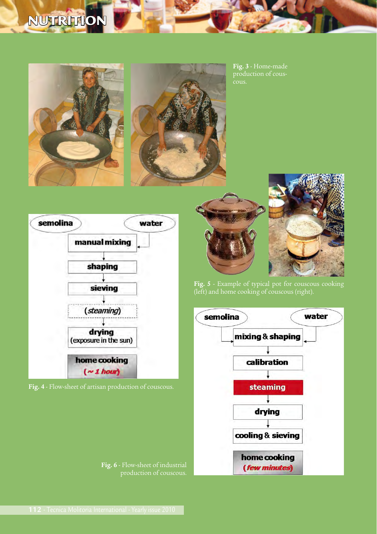## NUTRITION





**Fig. 3** - Home-made production of cous-







**Fig. 6** - Flow-sheet of industrial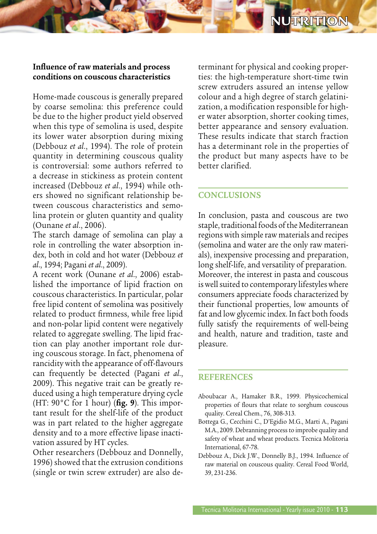#### **Influence of raw materials and process conditions on couscous characteristics**

Home-made couscous is generally prepared by coarse semolina: this preference could be due to the higher product yield observed when this type of semolina is used, despite its lower water absorption during mixing (Debbouz *et al*., 1994). The role of protein quantity in determining couscous quality is controversial: some authors referred to a decrease in stickiness as protein content increased (Debbouz *et al*., 1994) while others showed no significant relationship between couscous characteristics and semolina protein or gluten quantity and quality (Ounane *et al*., 2006).

The starch damage of semolina can play a role in controlling the water absorption index, both in cold and hot water (Debbouz *et al*., 1994; Pagani *et al*., 2009).

A recent work (Ounane *et al*., 2006) established the importance of lipid fraction on couscous characteristics. In particular, polar free lipid content of semolina was positively related to product firmness, while free lipid and non-polar lipid content were negatively related to aggregate swelling. The lipid fraction can play another important role during couscous storage. In fact, phenomena of rancidity with the appearance of off-flavours can frequently be detected (Pagani *et al*., 2009). This negative trait can be greatly reduced using a high temperature drying cycle (HT: 90°C for 1 hour) (**fig. 9**). This important result for the shelf-life of the product was in part related to the higher aggregate density and to a more effective lipase inactivation assured by HT cycles.

Other researchers (Debbouz and Donnelly, 1996) showed that the extrusion conditions (single or twin screw extruder) are also de-

terminant for physical and cooking properties: the high-temperature short-time twin screw extruders assured an intense yellow colour and a high degree of starch gelatinization, a modification responsible for higher water absorption, shorter cooking times, better appearance and sensory evaluation. These results indicate that starch fraction has a determinant role in the properties of the product but many aspects have to be better clarified.

#### **CONCLUSIONS**

In conclusion, pasta and couscous are two staple, traditional foods of the Mediterranean regions with simple raw materials and recipes (semolina and water are the only raw materials), inexpensive processing and preparation, long shelf-life, and versatility of preparation. Moreover, the interest in pasta and couscous is well suited to contemporary lifestyles where consumers appreciate foods characterized by their functional properties, low amounts of fat and low glycemic index. In fact both foods fully satisfy the requirements of well-being and health, nature and tradition, taste and pleasure.

#### **REFERENCES**

- Aboubacar A., Hamaker B.R., 1999. Physicochemical properties of flours that relate to sorghum couscous quality. Cereal Chem., 76, 308-313.
- Bottega G., Cecchini C., D'Egidio M.G., Marti A., Pagani M.A., 2009. Debranning process to improbe quality and safety of wheat and wheat products. Tecnica Molitoria International, 67-78.
- Debbouz A., Dick J.W., Donnelly B.J., 1994. Influence of raw material on couscous quality. Cereal Food World, 39, 231-236.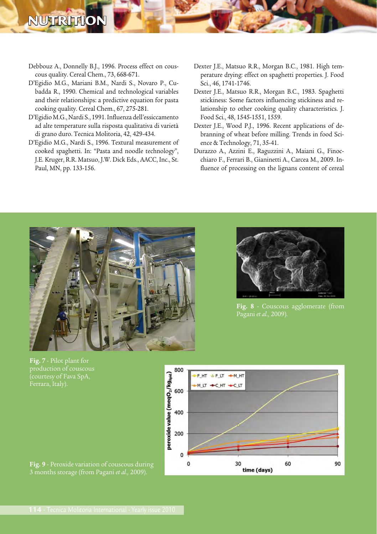## NUTRITIO

- Debbouz A., Donnelly B.J., 1996. Process effect on couscous quality. Cereal Chem., 73, 668-671.
- D'Egidio M.G., Mariani B.M., Nardi S., Novaro P., Cubadda R., 1990. Chemical and technological variables and their relationships: a predictive equation for pasta cooking quality. Cereal Chem., 67, 275-281.
- D'Egidio M.G., Nardi S., 1991. Influenza dell'essiccamento ad alte temperature sulla risposta qualitativa di varietà di grano duro. Tecnica Molitoria, 42, 429-434.
- D'Egidio M.G., Nardi S., 1996. Textural measurement of cooked spaghetti. In: "Pasta and noodle technology", J.E. Kruger, R.R. Matsuo, J.W. Dick Eds., AACC, Inc., St. Paul, MN, pp. 133-156.
- Dexter J.E., Matsuo R.R., Morgan B.C., 1981. High temperature drying: effect on spaghetti properties. J. Food Sci., 46, 1741-1746.
- Dexter J.E., Matsuo R.R., Morgan B.C., 1983. Spaghetti stickiness: Some factors influencing stickiness and relationship to other cooking quality characteristics. J. Food Sci., 48, 1545-1551, 1559.
- Dexter J.E., Wood P.J., 1996. Recent applications of debranning of wheat before milling. Trends in food Science & Technology, 71, 35-41.
- Durazzo A., Azzini E., Raguzzini A., Maiani G., Finocchiaro F., Ferrari B., Gianinetti A., Carcea M., 2009. Influence of processing on the lignans content of cereal



**Fig. 8** - Couscous agglomerate (from Pagani *et al.,* 2009)*.*



**Fig. 7** - Pilot plant for .<br>(courtesy of Fava SpA,